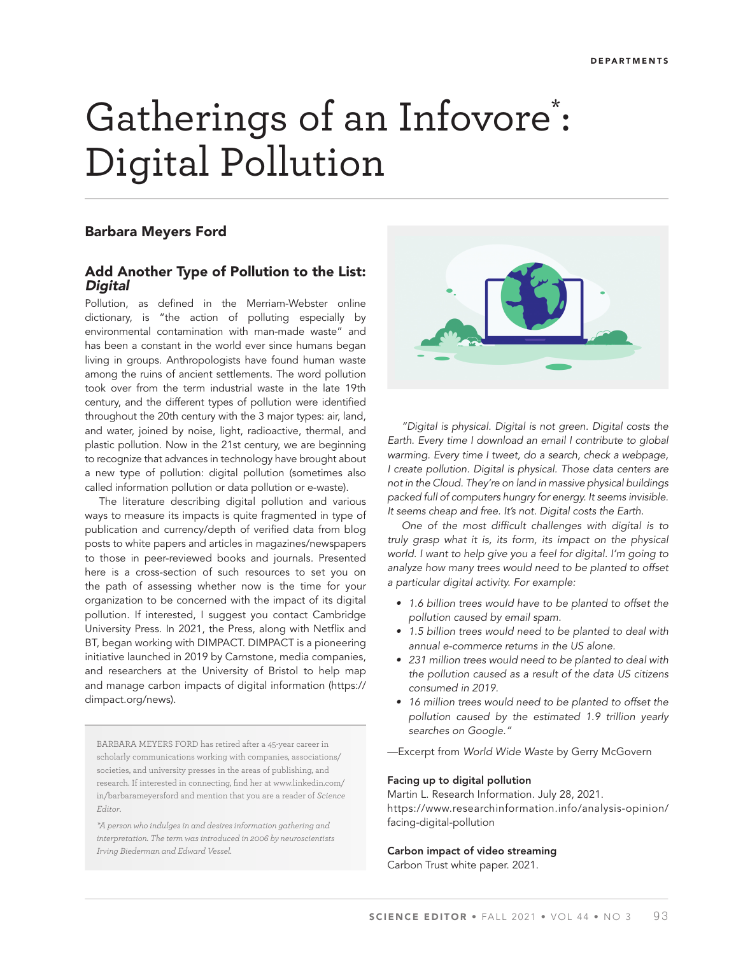# Gatherings of an Infovore<sup>\*</sup>: Digital Pollution

# Barbara Meyers Ford

# Add Another Type of Pollution to the List: **Digital**

Pollution, as defined in the Merriam-Webster online dictionary, is "the action of polluting especially by environmental contamination with man-made waste" and has been a constant in the world ever since humans began living in groups. Anthropologists have found human waste among the ruins of ancient settlements. The word pollution took over from the term industrial waste in the late 19th century, and the different types of pollution were identified throughout the 20th century with the 3 major types: air, land, and water, joined by noise, light, radioactive, thermal, and plastic pollution. Now in the 21st century, we are beginning to recognize that advances in technology have brought about a new type of pollution: digital pollution (sometimes also called information pollution or data pollution or e-waste).

The literature describing digital pollution and various ways to measure its impacts is quite fragmented in type of publication and currency/depth of verified data from blog posts to white papers and articles in magazines/newspapers to those in peer-reviewed books and journals. Presented here is a cross-section of such resources to set you on the path of assessing whether now is the time for your organization to be concerned with the impact of its digital pollution. If interested, I suggest you contact Cambridge University Press. In 2021, the Press, along with Netflix and BT, began working with DIMPACT. DIMPACT is a pioneering initiative launched in 2019 by Carnstone, media companies, and researchers at the University of Bristol to help map and manage carbon impacts of digital information (https:// dimpact.org/news).

BARBARA MEYERS FORD has retired after a 45-year career in scholarly communications working with companies, associations/ societies, and university presses in the areas of publishing, and research. If interested in connecting, find her at www.linkedin.com/ in/barbarameyersford and mention that you are a reader of *Science Editor*.

*\*A person who indulges in and desires information gathering and interpretation. The term was introduced in 2006 by neuroscientists Irving Biederman and Edward Vessel.*



*"Digital is physical. Digital is not green. Digital costs the Earth. Every time I download an email I contribute to global warming. Every time I tweet, do a search, check a webpage, I create pollution. Digital is physical. Those data centers are not in the Cloud. They're on land in massive physical buildings packed full of computers hungry for energy. It seems invisible. It seems cheap and free. It's not. Digital costs the Earth.* 

*One of the most difficult challenges with digital is to truly grasp what it is, its form, its impact on the physical world. I want to help give you a feel for digital. I'm going to analyze how many trees would need to be planted to offset a particular digital activity. For example:*

- • *1.6 billion trees would have to be planted to offset the pollution caused by email spam.*
- • *1.5 billion trees would need to be planted to deal with annual e-commerce returns in the US alone.*
- • *231 million trees would need to be planted to deal with the pollution caused as a result of the data US citizens consumed in 2019.*
- • *16 million trees would need to be planted to offset the pollution caused by the estimated 1.9 trillion yearly searches on Google."*
- —Excerpt from *World Wide Waste* by Gerry McGovern

#### Facing up to digital pollution

Martin L. Research Information. July 28, 2021. https://www.researchinformation.info/analysis-opinion/ facing-digital-pollution

## Carbon impact of video streaming

Carbon Trust white paper. 2021.